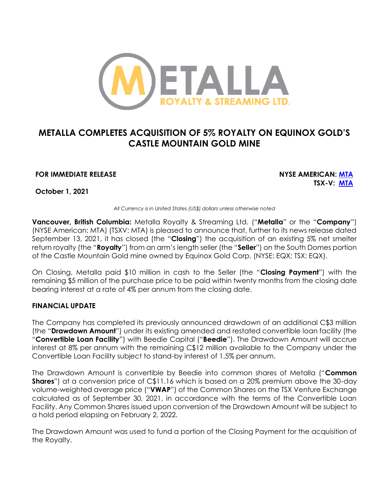

# **METALLA COMPLETES ACQUISITION OF 5% ROYALTY ON EQUINOX GOLD'S CASTLE MOUNTAIN GOLD MINE**

# **FOR IMMEDIATE RELEASE NYSE AMERICAN: [MTA](https://www.nyse.com/quote/XASE:MTA)**

**TSX-V: [MTA](https://money.tmx.com/en/quote/MTA)**

**October 1, 2021**

*All Currency is in United States (US\$) dollars unless otherwise noted*

**Vancouver, British Columbia:** Metalla Royalty & Streaming Ltd. ("**Metalla**" or the "**Company**") (NYSE American: MTA) (TSXV: MTA) is pleased to announce that, further to its news release dated September 13, 2021, it has closed (the "**Closing**") the acquisition of an existing 5% net smelter return royalty (the "**Royalty**") from an arm's length seller (the "**Seller**") on the South Domes portion of the Castle Mountain Gold mine owned by Equinox Gold Corp. (NYSE: EQX; TSX: EQX).

On Closing, Metalla paid \$10 million in cash to the Seller (the "**Closing Payment**") with the remaining \$5 million of the purchase price to be paid within twenty months from the closing date bearing interest at a rate of 4% per annum from the closing date.

# **FINANCIAL UPDATE**

The Company has completed its previously announced drawdown of an additional C\$3 million (the "**Drawdown Amount**") under its existing amended and restated convertible loan facility (the "**Convertible Loan Facility**") with Beedie Capital ("**Beedie**"). The Drawdown Amount will accrue interest at 8% per annum with the remaining C\$12 million available to the Company under the Convertible Loan Facility subject to stand-by interest of 1.5% per annum.

The Drawdown Amount is convertible by Beedie into common shares of Metalla ("**Common Shares**") at a conversion price of C\$11.16 which is based on a 20% premium above the 30-day volume-weighted average price ("**VWAP**") of the Common Shares on the TSX Venture Exchange calculated as of September 30, 2021, in accordance with the terms of the Convertible Loan Facility. Any Common Shares issued upon conversion of the Drawdown Amount will be subject to a hold period elapsing on February 2, 2022.

The Drawdown Amount was used to fund a portion of the Closing Payment for the acquisition of the Royalty.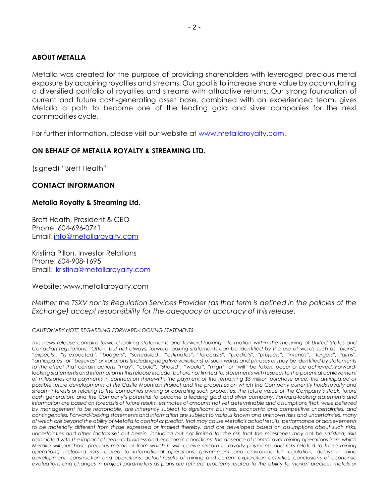### **ABOUT METALLA**

Metalla was created for the purpose of providing shareholders with leveraged precious metal exposure by acquiring royalties and streams. Our goal is to increase share value by accumulating a diversified portfolio of royalties and streams with attractive returns. Our strong foundation of current and future cash-generating asset base, combined with an experienced team, gives Metalla a path to become one of the leading gold and silver companies for the next commodities cycle.

For further information, please visit our website at [www.metallaroyalty.com.](http://www.metallaroyalty.com/)

#### **ON BEHALF OF METALLA ROYALTY & STREAMING LTD.**

(signed) "Brett Heath"

#### **CONTACT INFORMATION**

#### **Metalla Royalty & Streaming Ltd.**

Brett Heath, President & CEO Phone: [604-696-0741](tel:604-696-0741) Email: [info@metallaroyalty.com](mailto:info@metallaroyalty.com)

Kristina Pillon, Investor Relations Phone: 604-908-1695 Email: [kristina@metallaroyalty.com](mailto:kristina@metallaroyalty.com)

Website: [www.metallaroyalty.com](http://www.metallaroyalty.com/)

*Neither the TSXV nor its Regulation Services Provider (as that term is defined in the policies of the Exchange) accept responsibility for the adequacy or accuracy of this release.* 

#### *CAUTIONARY NOTE REGARDING FORWARD-LOOKING STATEMENTS*

*This news release contains forward-looking statements and forward-looking information within the meaning of United States and Canadian regulations. Often, but not always, forward-looking statements can be identified by the use of words such as "plans",*  "expects", "is expected", "budgets", "scheduled", "estimates", "forecasts", "predicts", "projects", "intends", "targets", "aims", *"anticipates" or "believes" or variations (including negative variations) of such words and phrases or may be identified by statements*  to the effect that certain actions "may", "could", "should", "would", "might" or "will" be taken, occur or be achieved. Forwardlooking statements and information in this release include, but are not limited to, statements with respect to the potential achievement *of milestones and payments in connection therewith; the payment of the remaining \$5 million purchase price; the anticipated or possible future developments at the Castle Mountain Project and the properties on which the Company currently holds royalty and stream interests or relating to the companies owning or operating such properties; the future value of the Company's stock; future*  cash generation; and the Company's potential to become a leading gold and silver company. Forward-looking statements and *information are based on forecasts of future results, estimates of amounts not yet determinable and assumptions that, while believed by management to be reasonable, are inherently subject to significant business, economic and competitive uncertainties, and contingencies. Forward-looking statements and information are subject to various known and unknown risks and uncertainties, many of which are beyond the ability of Metalla to control or predict, that may cause Metalla's actual results, performance or achievements to be materially different from those expressed or implied thereby, and are developed based on assumptions about such risks, uncertainties and other factors set out herein, including but not limited to: the risk that the milestones may not be satisfied; risks associated with the impact of general business and economic conditions; the absence of control over mining operations from which Metalla will purchase precious metals or from which it will receive stream or royalty payments and risks related to those mining operations, including risks related to international operations, government and environmental regulation, delays in mine development, construction and operations, actual results of mining and current exploration activities, conclusions of economic evaluations and changes in project parameters as plans are refined; problems related to the ability to market precious metals or*